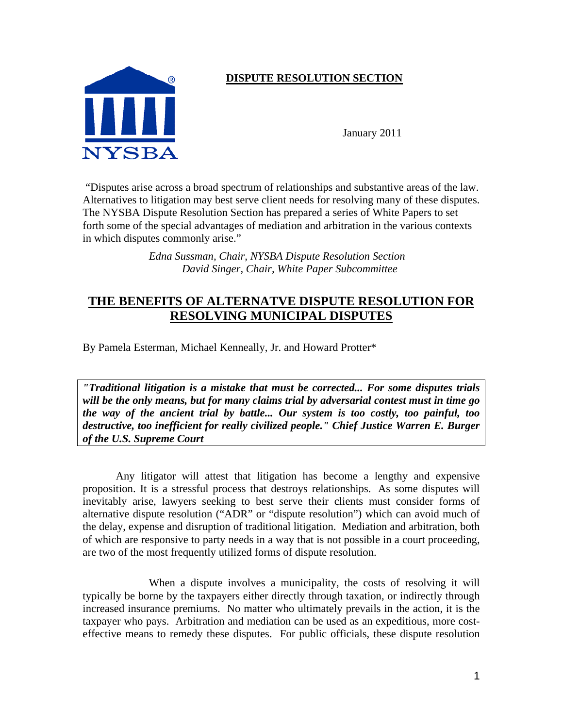

## **DISPUTE RESOLUTION SECTION**

January 2011

 "Disputes arise across a broad spectrum of relationships and substantive areas of the law. Alternatives to litigation may best serve client needs for resolving many of these disputes. The NYSBA Dispute Resolution Section has prepared a series of White Papers to set forth some of the special advantages of mediation and arbitration in the various contexts in which disputes commonly arise."

> *Edna Sussman, Chair, NYSBA Dispute Resolution Section David Singer, Chair, White Paper Subcommittee*

# **THE BENEFITS OF ALTERNATVE DISPUTE RESOLUTION FOR RESOLVING MUNICIPAL DISPUTES**

By Pamela Esterman, Michael Kenneally, Jr. and Howard Protter\*

*"Traditional litigation is a mistake that must be corrected... For some disputes trials will be the only means, but for many claims trial by adversarial contest must in time go the way of the ancient trial by battle... Our system is too costly, too painful, too destructive, too inefficient for really civilized people." Chief Justice Warren E. Burger of the U.S. Supreme Court* 

Any litigator will attest that litigation has become a lengthy and expensive proposition. It is a stressful process that destroys relationships. As some disputes will inevitably arise, lawyers seeking to best serve their clients must consider forms of alternative dispute resolution ("ADR" or "dispute resolution") which can avoid much of the delay, expense and disruption of traditional litigation. Mediation and arbitration, both of which are responsive to party needs in a way that is not possible in a court proceeding, are two of the most frequently utilized forms of dispute resolution.

 When a dispute involves a municipality, the costs of resolving it will typically be borne by the taxpayers either directly through taxation, or indirectly through increased insurance premiums. No matter who ultimately prevails in the action, it is the taxpayer who pays. Arbitration and mediation can be used as an expeditious, more costeffective means to remedy these disputes. For public officials, these dispute resolution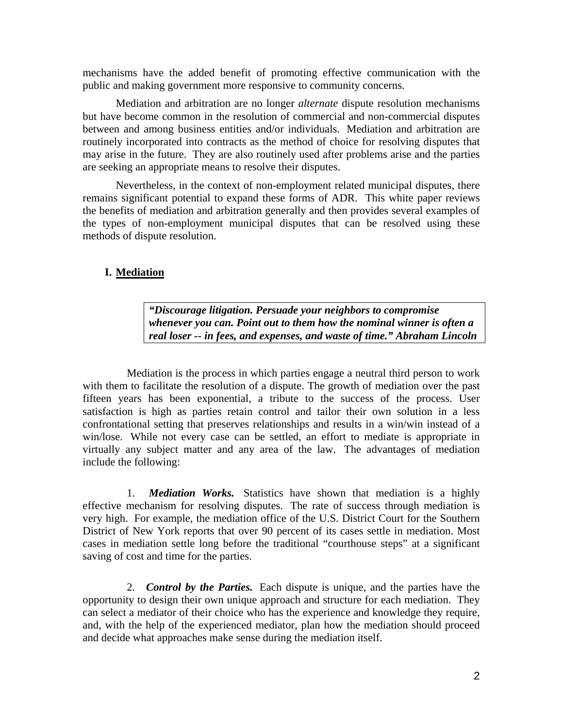mechanisms have the added benefit of promoting effective communication with the public and making government more responsive to community concerns.

Mediation and arbitration are no longer *alternate* dispute resolution mechanisms but have become common in the resolution of commercial and non-commercial disputes between and among business entities and/or individuals. Mediation and arbitration are routinely incorporated into contracts as the method of choice for resolving disputes that may arise in the future. They are also routinely used after problems arise and the parties are seeking an appropriate means to resolve their disputes.

Nevertheless, in the context of non-employment related municipal disputes, there remains significant potential to expand these forms of ADR. This white paper reviews the benefits of mediation and arbitration generally and then provides several examples of the types of non-employment municipal disputes that can be resolved using these methods of dispute resolution.

## **I. Mediation**

*"Discourage litigation. Persuade your neighbors to compromise whenever you can. Point out to them how the nominal winner is often a real loser -- in fees, and expenses, and waste of time." Abraham Lincoln* 

Mediation is the process in which parties engage a neutral third person to work with them to facilitate the resolution of a dispute. The growth of mediation over the past fifteen years has been exponential, a tribute to the success of the process. User satisfaction is high as parties retain control and tailor their own solution in a less confrontational setting that preserves relationships and results in a win/win instead of a win/lose. While not every case can be settled, an effort to mediate is appropriate in virtually any subject matter and any area of the law. The advantages of mediation include the following:

1. *Mediation Works.* Statistics have shown that mediation is a highly effective mechanism for resolving disputes. The rate of success through mediation is very high. For example, the mediation office of the U.S. District Court for the Southern District of New York reports that over 90 percent of its cases settle in mediation. Most cases in mediation settle long before the traditional "courthouse steps" at a significant saving of cost and time for the parties.

2. *Control by the Parties.* Each dispute is unique, and the parties have the opportunity to design their own unique approach and structure for each mediation. They can select a mediator of their choice who has the experience and knowledge they require, and, with the help of the experienced mediator, plan how the mediation should proceed and decide what approaches make sense during the mediation itself.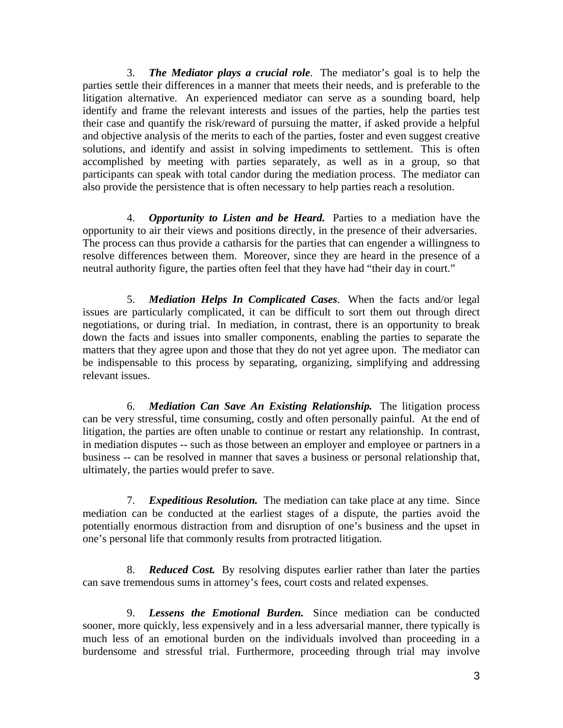3. *The Mediator plays a crucial role*. The mediator's goal is to help the parties settle their differences in a manner that meets their needs, and is preferable to the litigation alternative. An experienced mediator can serve as a sounding board, help identify and frame the relevant interests and issues of the parties, help the parties test their case and quantify the risk/reward of pursuing the matter, if asked provide a helpful and objective analysis of the merits to each of the parties, foster and even suggest creative solutions, and identify and assist in solving impediments to settlement. This is often accomplished by meeting with parties separately, as well as in a group, so that participants can speak with total candor during the mediation process. The mediator can also provide the persistence that is often necessary to help parties reach a resolution.

4. *Opportunity to Listen and be Heard.* Parties to a mediation have the opportunity to air their views and positions directly, in the presence of their adversaries. The process can thus provide a catharsis for the parties that can engender a willingness to resolve differences between them. Moreover, since they are heard in the presence of a neutral authority figure, the parties often feel that they have had "their day in court."

5. *Mediation Helps In Complicated Cases*. When the facts and/or legal issues are particularly complicated, it can be difficult to sort them out through direct negotiations, or during trial. In mediation, in contrast, there is an opportunity to break down the facts and issues into smaller components, enabling the parties to separate the matters that they agree upon and those that they do not yet agree upon. The mediator can be indispensable to this process by separating, organizing, simplifying and addressing relevant issues.

6. *Mediation Can Save An Existing Relationship.* The litigation process can be very stressful, time consuming, costly and often personally painful. At the end of litigation, the parties are often unable to continue or restart any relationship. In contrast, in mediation disputes -- such as those between an employer and employee or partners in a business -- can be resolved in manner that saves a business or personal relationship that, ultimately, the parties would prefer to save.

7. *Expeditious Resolution.* The mediation can take place at any time. Since mediation can be conducted at the earliest stages of a dispute, the parties avoid the potentially enormous distraction from and disruption of one's business and the upset in one's personal life that commonly results from protracted litigation.

8. *Reduced Cost.* By resolving disputes earlier rather than later the parties can save tremendous sums in attorney's fees, court costs and related expenses.

9. *Lessens the Emotional Burden.* Since mediation can be conducted sooner, more quickly, less expensively and in a less adversarial manner, there typically is much less of an emotional burden on the individuals involved than proceeding in a burdensome and stressful trial. Furthermore, proceeding through trial may involve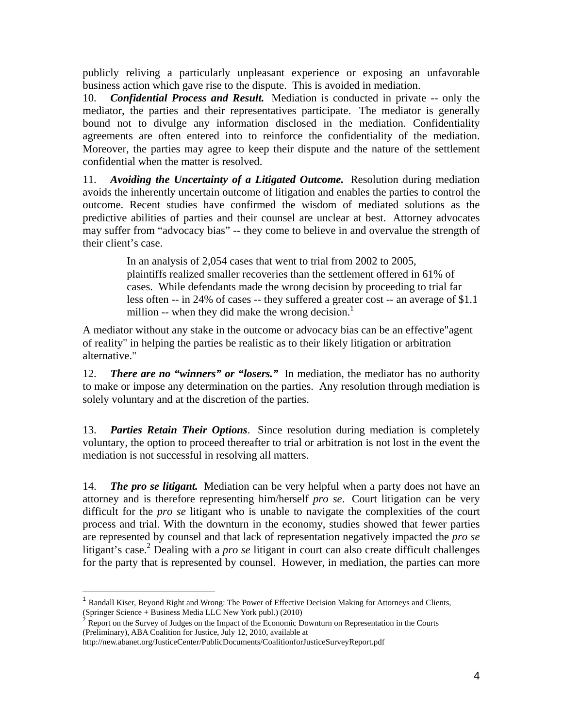publicly reliving a particularly unpleasant experience or exposing an unfavorable business action which gave rise to the dispute. This is avoided in mediation.

10. *Confidential Process and Result.* Mediation is conducted in private -- only the mediator, the parties and their representatives participate. The mediator is generally bound not to divulge any information disclosed in the mediation. Confidentiality agreements are often entered into to reinforce the confidentiality of the mediation. Moreover, the parties may agree to keep their dispute and the nature of the settlement confidential when the matter is resolved.

11. *Avoiding the Uncertainty of a Litigated Outcome.* Resolution during mediation avoids the inherently uncertain outcome of litigation and enables the parties to control the outcome. Recent studies have confirmed the wisdom of mediated solutions as the predictive abilities of parties and their counsel are unclear at best. Attorney advocates may suffer from "advocacy bias" -- they come to believe in and overvalue the strength of their client's case.

> In an analysis of 2,054 cases that went to trial from 2002 to 2005, plaintiffs realized smaller recoveries than the settlement offered in 61% of cases. While defendants made the wrong decision by proceeding to trial far less often -- in 24% of cases -- they suffered a greater cost -- an average of \$1.1 million -- when they did make the wrong decision. $\frac{1}{1}$

A mediator without any stake in the outcome or advocacy bias can be an effective"agent of reality" in helping the parties be realistic as to their likely litigation or arbitration alternative."

12. *There are no "winners" or "losers."* In mediation, the mediator has no authority to make or impose any determination on the parties. Any resolution through mediation is solely voluntary and at the discretion of the parties.

13. *Parties Retain Their Options*. Since resolution during mediation is completely voluntary, the option to proceed thereafter to trial or arbitration is not lost in the event the mediation is not successful in resolving all matters.

14. *The pro se litigant.* Mediation can be very helpful when a party does not have an attorney and is therefore representing him/herself *pro se*. Court litigation can be very difficult for the *pro se* litigant who is unable to navigate the complexities of the court process and trial. With the downturn in the economy, studies showed that fewer parties are represented by counsel and that lack of representation negatively impacted the *pro se* litigant's case.<sup>2</sup> Dealing with a *pro se* litigant in court can also create difficult challenges for the party that is represented by counsel. However, in mediation, the parties can more

<sup>&</sup>lt;sup>1</sup> Randall Kiser, Beyond Right and Wrong: The Power of Effective Decision Making for Attorneys and Clients, (Springer Science + Business Media LLC New York publ.) (2010)

 $<sup>2</sup>$  Report on the Survey of Judges on the Impact of the Economic Downturn on Representation in the Courts</sup> (Preliminary), ABA Coalition for Justice, July 12, 2010, available at

http://new.abanet.org/JusticeCenter/PublicDocuments/CoalitionforJusticeSurveyReport.pdf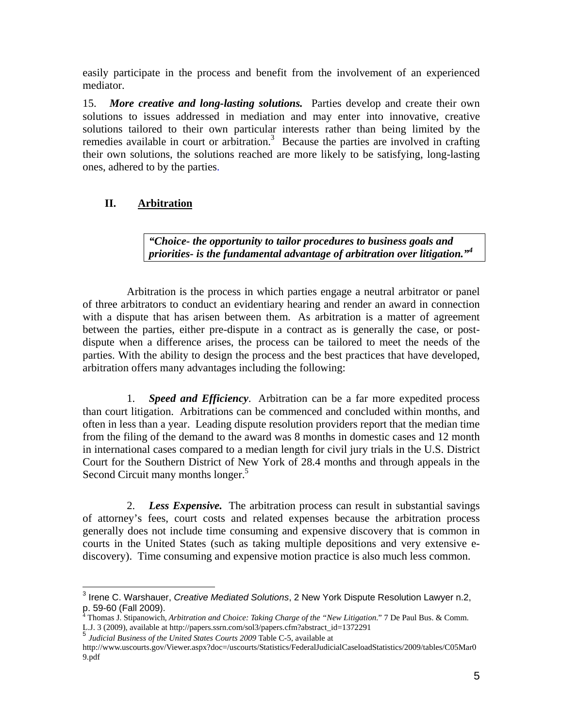easily participate in the process and benefit from the involvement of an experienced mediator.

15. *More creative and long-lasting solutions.* Parties develop and create their own solutions to issues addressed in mediation and may enter into innovative, creative solutions tailored to their own particular interests rather than being limited by the remedies available in court or arbitration.<sup>3</sup> Because the parties are involved in crafting their own solutions, the solutions reached are more likely to be satisfying, long-lasting ones, adhered to by the parties.

## **II. Arbitration**

*"Choice- the opportunity to tailor procedures to business goals and priorities- is the fundamental advantage of arbitration over litigation."<sup>4</sup>*

Arbitration is the process in which parties engage a neutral arbitrator or panel of three arbitrators to conduct an evidentiary hearing and render an award in connection with a dispute that has arisen between them. As arbitration is a matter of agreement between the parties, either pre-dispute in a contract as is generally the case, or postdispute when a difference arises, the process can be tailored to meet the needs of the parties. With the ability to design the process and the best practices that have developed, arbitration offers many advantages including the following:

1. *Speed and Efficiency*. Arbitration can be a far more expedited process than court litigation. Arbitrations can be commenced and concluded within months, and often in less than a year. Leading dispute resolution providers report that the median time from the filing of the demand to the award was 8 months in domestic cases and 12 month in international cases compared to a median length for civil jury trials in the U.S. District Court for the Southern District of New York of 28.4 months and through appeals in the Second Circuit many months longer.<sup>5</sup>

2. *Less Expensive.* The arbitration process can result in substantial savings of attorney's fees, court costs and related expenses because the arbitration process generally does not include time consuming and expensive discovery that is common in courts in the United States (such as taking multiple depositions and very extensive ediscovery). Time consuming and expensive motion practice is also much less common.

 3 Irene C. Warshauer, *Creative Mediated Solutions*, 2 New York Dispute Resolution Lawyer n.2,

p. 59-60 (Fall 2009). 4 Thomas J. Stipanowich*, Arbitration and Choice: Taking Charge of the "New Litigation*." 7 De Paul Bus. & Comm. L.J. 3 (2009), available at http://papers.ssrn.com/sol3/papers.cfm?abstract\_id=1372291

<sup>5</sup> *Judicial Business of the United States Courts 2009* Table C-5, available at

http://www.uscourts.gov/Viewer.aspx?doc=/uscourts/Statistics/FederalJudicialCaseloadStatistics/2009/tables/C05Mar0 9.pdf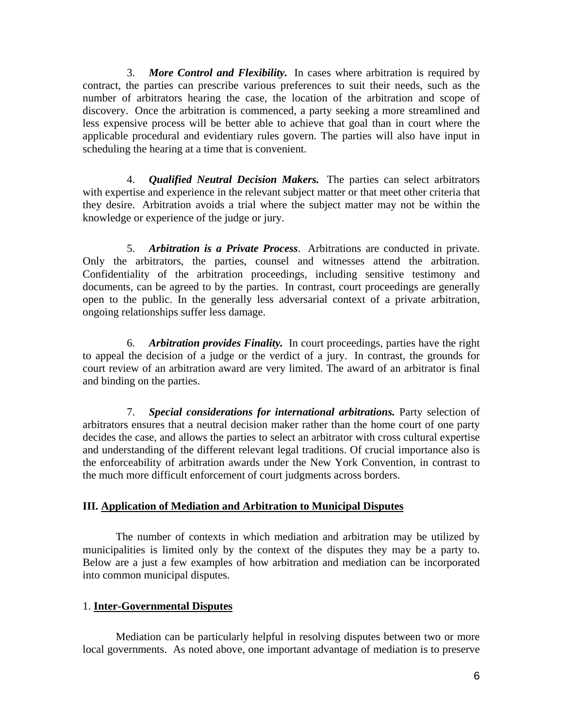3. *More Control and Flexibility.* In cases where arbitration is required by contract, the parties can prescribe various preferences to suit their needs, such as the number of arbitrators hearing the case, the location of the arbitration and scope of discovery. Once the arbitration is commenced, a party seeking a more streamlined and less expensive process will be better able to achieve that goal than in court where the applicable procedural and evidentiary rules govern. The parties will also have input in scheduling the hearing at a time that is convenient.

4. *Qualified Neutral Decision Makers.* The parties can select arbitrators with expertise and experience in the relevant subject matter or that meet other criteria that they desire. Arbitration avoids a trial where the subject matter may not be within the knowledge or experience of the judge or jury.

5. *Arbitration is a Private Process*. Arbitrations are conducted in private. Only the arbitrators, the parties, counsel and witnesses attend the arbitration. Confidentiality of the arbitration proceedings, including sensitive testimony and documents, can be agreed to by the parties. In contrast, court proceedings are generally open to the public. In the generally less adversarial context of a private arbitration, ongoing relationships suffer less damage.

6. *Arbitration provides Finality.* In court proceedings, parties have the right to appeal the decision of a judge or the verdict of a jury. In contrast, the grounds for court review of an arbitration award are very limited. The award of an arbitrator is final and binding on the parties.

7. *Special considerations for international arbitrations.* Party selection of arbitrators ensures that a neutral decision maker rather than the home court of one party decides the case, and allows the parties to select an arbitrator with cross cultural expertise and understanding of the different relevant legal traditions. Of crucial importance also is the enforceability of arbitration awards under the New York Convention, in contrast to the much more difficult enforcement of court judgments across borders.

#### **III. Application of Mediation and Arbitration to Municipal Disputes**

 The number of contexts in which mediation and arbitration may be utilized by municipalities is limited only by the context of the disputes they may be a party to. Below are a just a few examples of how arbitration and mediation can be incorporated into common municipal disputes.

## 1. **Inter-Governmental Disputes**

 Mediation can be particularly helpful in resolving disputes between two or more local governments. As noted above, one important advantage of mediation is to preserve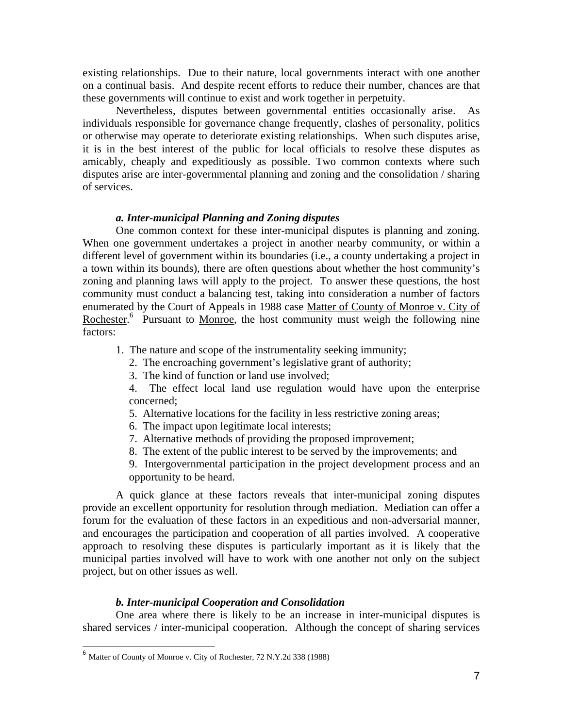existing relationships. Due to their nature, local governments interact with one another on a continual basis. And despite recent efforts to reduce their number, chances are that these governments will continue to exist and work together in perpetuity.

 Nevertheless, disputes between governmental entities occasionally arise. As individuals responsible for governance change frequently, clashes of personality, politics or otherwise may operate to deteriorate existing relationships. When such disputes arise, it is in the best interest of the public for local officials to resolve these disputes as amicably, cheaply and expeditiously as possible. Two common contexts where such disputes arise are inter-governmental planning and zoning and the consolidation / sharing of services.

#### *a. Inter-municipal Planning and Zoning disputes*

 One common context for these inter-municipal disputes is planning and zoning. When one government undertakes a project in another nearby community, or within a different level of government within its boundaries (i.e., a county undertaking a project in a town within its bounds), there are often questions about whether the host community's zoning and planning laws will apply to the project. To answer these questions, the host community must conduct a balancing test, taking into consideration a number of factors enumerated by the Court of Appeals in 1988 case Matter of County of Monroe v. City of Rochester.<sup>6</sup> Pursuant to <u>Monroe</u>, the host community must weigh the following nine factors:

- 1. The nature and scope of the instrumentality seeking immunity;
	- 2. The encroaching government's legislative grant of authority;
	- 3. The kind of function or land use involved;
	- 4. The effect local land use regulation would have upon the enterprise concerned;
	- 5. Alternative locations for the facility in less restrictive zoning areas;
	- 6. The impact upon legitimate local interests;
	- 7. Alternative methods of providing the proposed improvement;
	- 8. The extent of the public interest to be served by the improvements; and

9. Intergovernmental participation in the project development process and an opportunity to be heard.

 A quick glance at these factors reveals that inter-municipal zoning disputes provide an excellent opportunity for resolution through mediation. Mediation can offer a forum for the evaluation of these factors in an expeditious and non-adversarial manner, and encourages the participation and cooperation of all parties involved. A cooperative approach to resolving these disputes is particularly important as it is likely that the municipal parties involved will have to work with one another not only on the subject project, but on other issues as well.

## *b. Inter-municipal Cooperation and Consolidation*

 One area where there is likely to be an increase in inter-municipal disputes is shared services / inter-municipal cooperation. Although the concept of sharing services

<sup>&</sup>lt;sup>6</sup> Matter of County of Monroe v. City of Rochester, 72 N.Y.2d 338 (1988)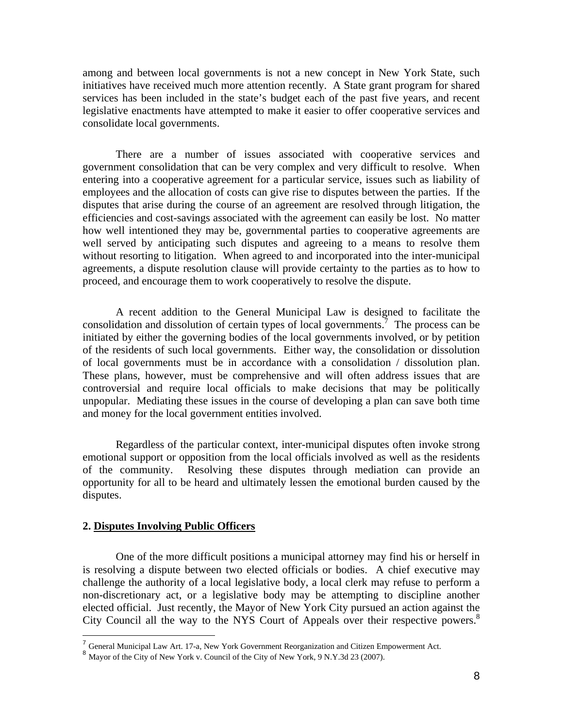among and between local governments is not a new concept in New York State, such initiatives have received much more attention recently. A State grant program for shared services has been included in the state's budget each of the past five years, and recent legislative enactments have attempted to make it easier to offer cooperative services and consolidate local governments.

 There are a number of issues associated with cooperative services and government consolidation that can be very complex and very difficult to resolve. When entering into a cooperative agreement for a particular service, issues such as liability of employees and the allocation of costs can give rise to disputes between the parties. If the disputes that arise during the course of an agreement are resolved through litigation, the efficiencies and cost-savings associated with the agreement can easily be lost. No matter how well intentioned they may be, governmental parties to cooperative agreements are well served by anticipating such disputes and agreeing to a means to resolve them without resorting to litigation. When agreed to and incorporated into the inter-municipal agreements, a dispute resolution clause will provide certainty to the parties as to how to proceed, and encourage them to work cooperatively to resolve the dispute.

 A recent addition to the General Municipal Law is designed to facilitate the consolidation and dissolution of certain types of local governments.<sup>7</sup> The process can be initiated by either the governing bodies of the local governments involved, or by petition of the residents of such local governments. Either way, the consolidation or dissolution of local governments must be in accordance with a consolidation / dissolution plan. These plans, however, must be comprehensive and will often address issues that are controversial and require local officials to make decisions that may be politically unpopular. Mediating these issues in the course of developing a plan can save both time and money for the local government entities involved.

 Regardless of the particular context, inter-municipal disputes often invoke strong emotional support or opposition from the local officials involved as well as the residents of the community. Resolving these disputes through mediation can provide an opportunity for all to be heard and ultimately lessen the emotional burden caused by the disputes.

## **2. Disputes Involving Public Officers**

1

 One of the more difficult positions a municipal attorney may find his or herself in is resolving a dispute between two elected officials or bodies. A chief executive may challenge the authority of a local legislative body, a local clerk may refuse to perform a non-discretionary act, or a legislative body may be attempting to discipline another elected official. Just recently, the Mayor of New York City pursued an action against the City Council all the way to the NYS Court of Appeals over their respective powers.<sup>8</sup>

<sup>&</sup>lt;sup>7</sup> General Municipal Law Art. 17-a, New York Government Reorganization and Citizen Empowerment Act. <sup>8</sup> Mayor of the City of New York v. Council of the City of New York, 9 N.Y.3d 23 (2007).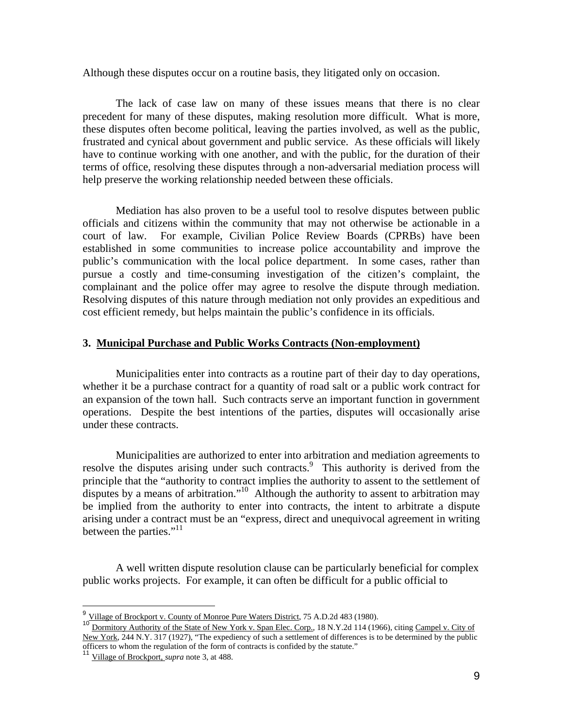Although these disputes occur on a routine basis, they litigated only on occasion.

 The lack of case law on many of these issues means that there is no clear precedent for many of these disputes, making resolution more difficult. What is more, these disputes often become political, leaving the parties involved, as well as the public, frustrated and cynical about government and public service. As these officials will likely have to continue working with one another, and with the public, for the duration of their terms of office, resolving these disputes through a non-adversarial mediation process will help preserve the working relationship needed between these officials.

 Mediation has also proven to be a useful tool to resolve disputes between public officials and citizens within the community that may not otherwise be actionable in a court of law. For example, Civilian Police Review Boards (CPRBs) have been established in some communities to increase police accountability and improve the public's communication with the local police department. In some cases, rather than pursue a costly and time-consuming investigation of the citizen's complaint, the complainant and the police offer may agree to resolve the dispute through mediation. Resolving disputes of this nature through mediation not only provides an expeditious and cost efficient remedy, but helps maintain the public's confidence in its officials.

#### **3. Municipal Purchase and Public Works Contracts (Non-employment)**

 Municipalities enter into contracts as a routine part of their day to day operations, whether it be a purchase contract for a quantity of road salt or a public work contract for an expansion of the town hall. Such contracts serve an important function in government operations. Despite the best intentions of the parties, disputes will occasionally arise under these contracts.

 Municipalities are authorized to enter into arbitration and mediation agreements to resolve the disputes arising under such contracts.<sup>9</sup> This authority is derived from the principle that the "authority to contract implies the authority to assent to the settlement of disputes by a means of arbitration."<sup>10</sup> Although the authority to assent to arbitration may be implied from the authority to enter into contracts, the intent to arbitrate a dispute arising under a contract must be an "express, direct and unequivocal agreement in writing between the parties."<sup>11</sup>

 A well written dispute resolution clause can be particularly beneficial for complex public works projects. For example, it can often be difficult for a public official to

<sup>&</sup>lt;sup>9</sup> Village of Brockport v. County of Monroe Pure Waters District, 75 A.D.2d 483 (1980).

Dormitory Authority of the State of New York v. Span Elec. Corp., 18 N.Y.2d 114 (1966), citing Campel v. City of New York, 244 N.Y. 317 (1927), "The expediency of such a settlement of differences is to be determined by the public officers to whom the regulation of the form of contracts is confided by the statute."

<sup>11</sup> Village of Brockport, *supra* note 3, at 488.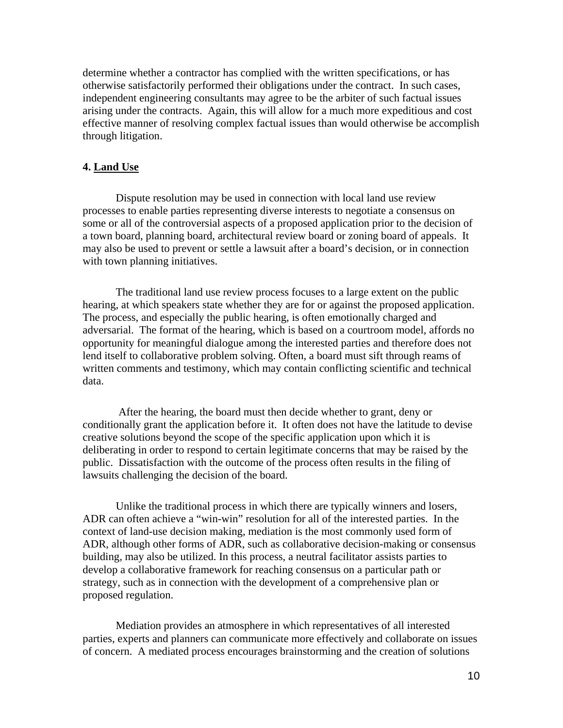determine whether a contractor has complied with the written specifications, or has otherwise satisfactorily performed their obligations under the contract. In such cases, independent engineering consultants may agree to be the arbiter of such factual issues arising under the contracts. Again, this will allow for a much more expeditious and cost effective manner of resolving complex factual issues than would otherwise be accomplish through litigation.

## **4. Land Use**

 Dispute resolution may be used in connection with local land use review processes to enable parties representing diverse interests to negotiate a consensus on some or all of the controversial aspects of a proposed application prior to the decision of a town board, planning board, architectural review board or zoning board of appeals. It may also be used to prevent or settle a lawsuit after a board's decision, or in connection with town planning initiatives.

 The traditional land use review process focuses to a large extent on the public hearing, at which speakers state whether they are for or against the proposed application. The process, and especially the public hearing, is often emotionally charged and adversarial. The format of the hearing, which is based on a courtroom model, affords no opportunity for meaningful dialogue among the interested parties and therefore does not lend itself to collaborative problem solving. Often, a board must sift through reams of written comments and testimony, which may contain conflicting scientific and technical data.

 After the hearing, the board must then decide whether to grant, deny or conditionally grant the application before it. It often does not have the latitude to devise creative solutions beyond the scope of the specific application upon which it is deliberating in order to respond to certain legitimate concerns that may be raised by the public. Dissatisfaction with the outcome of the process often results in the filing of lawsuits challenging the decision of the board.

 Unlike the traditional process in which there are typically winners and losers, ADR can often achieve a "win-win" resolution for all of the interested parties. In the context of land-use decision making, mediation is the most commonly used form of ADR, although other forms of ADR, such as collaborative decision-making or consensus building, may also be utilized. In this process, a neutral facilitator assists parties to develop a collaborative framework for reaching consensus on a particular path or strategy, such as in connection with the development of a comprehensive plan or proposed regulation.

 Mediation provides an atmosphere in which representatives of all interested parties, experts and planners can communicate more effectively and collaborate on issues of concern. A mediated process encourages brainstorming and the creation of solutions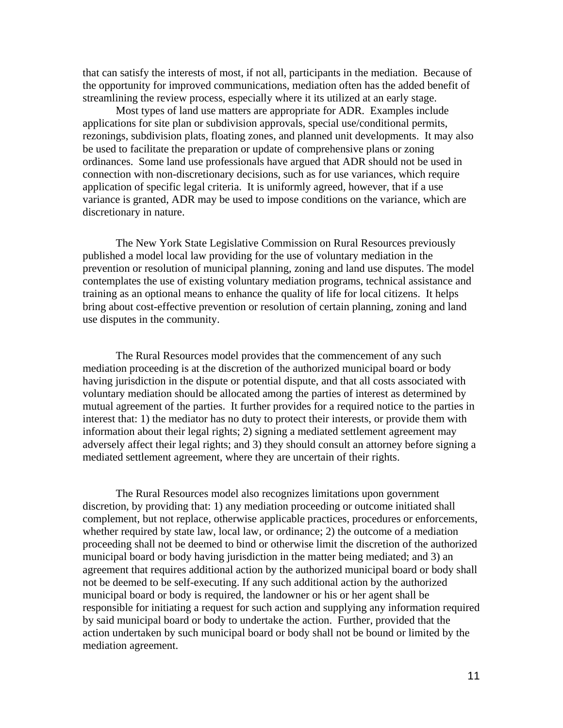that can satisfy the interests of most, if not all, participants in the mediation. Because of the opportunity for improved communications, mediation often has the added benefit of streamlining the review process, especially where it its utilized at an early stage.

 Most types of land use matters are appropriate for ADR. Examples include applications for site plan or subdivision approvals, special use/conditional permits, rezonings, subdivision plats, floating zones, and planned unit developments. It may also be used to facilitate the preparation or update of comprehensive plans or zoning ordinances. Some land use professionals have argued that ADR should not be used in connection with non-discretionary decisions, such as for use variances, which require application of specific legal criteria. It is uniformly agreed, however, that if a use variance is granted, ADR may be used to impose conditions on the variance, which are discretionary in nature.

 The New York State Legislative Commission on Rural Resources previously published a model local law providing for the use of voluntary mediation in the prevention or resolution of municipal planning, zoning and land use disputes. The model contemplates the use of existing voluntary mediation programs, technical assistance and training as an optional means to enhance the quality of life for local citizens. It helps bring about cost-effective prevention or resolution of certain planning, zoning and land use disputes in the community.

The Rural Resources model provides that the commencement of any such mediation proceeding is at the discretion of the authorized municipal board or body having jurisdiction in the dispute or potential dispute, and that all costs associated with voluntary mediation should be allocated among the parties of interest as determined by mutual agreement of the parties. It further provides for a required notice to the parties in interest that: 1) the mediator has no duty to protect their interests, or provide them with information about their legal rights; 2) signing a mediated settlement agreement may adversely affect their legal rights; and 3) they should consult an attorney before signing a mediated settlement agreement, where they are uncertain of their rights.

 The Rural Resources model also recognizes limitations upon government discretion, by providing that: 1) any mediation proceeding or outcome initiated shall complement, but not replace, otherwise applicable practices, procedures or enforcements, whether required by state law, local law, or ordinance; 2) the outcome of a mediation proceeding shall not be deemed to bind or otherwise limit the discretion of the authorized municipal board or body having jurisdiction in the matter being mediated; and 3) an agreement that requires additional action by the authorized municipal board or body shall not be deemed to be self-executing. If any such additional action by the authorized municipal board or body is required, the landowner or his or her agent shall be responsible for initiating a request for such action and supplying any information required by said municipal board or body to undertake the action. Further, provided that the action undertaken by such municipal board or body shall not be bound or limited by the mediation agreement.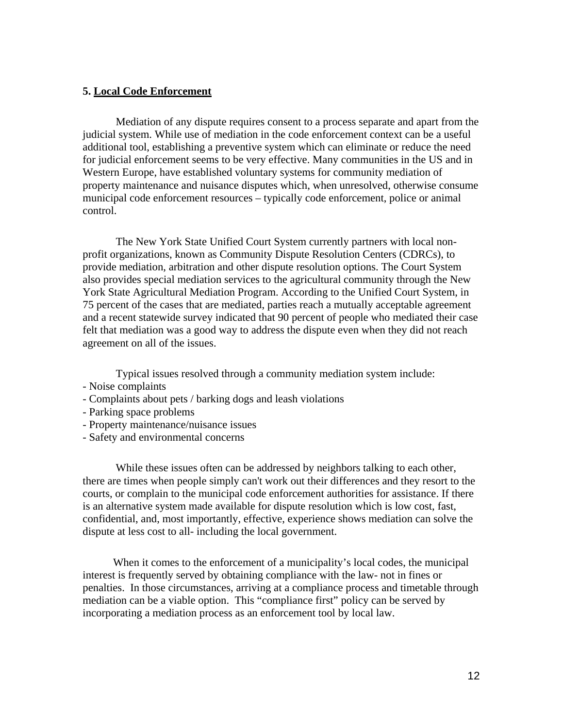#### **5. Local Code Enforcement**

 Mediation of any dispute requires consent to a process separate and apart from the judicial system. While use of mediation in the code enforcement context can be a useful additional tool, establishing a preventive system which can eliminate or reduce the need for judicial enforcement seems to be very effective. Many communities in the US and in Western Europe, have established voluntary systems for community mediation of property maintenance and nuisance disputes which, when unresolved, otherwise consume municipal code enforcement resources – typically code enforcement, police or animal control.

 The New York State Unified Court System currently partners with local nonprofit organizations, known as Community Dispute Resolution Centers (CDRCs), to provide mediation, arbitration and other dispute resolution options. The Court System also provides special mediation services to the agricultural community through the New York State Agricultural Mediation Program. According to the Unified Court System, in 75 percent of the cases that are mediated, parties reach a mutually acceptable agreement and a recent statewide survey indicated that 90 percent of people who mediated their case felt that mediation was a good way to address the dispute even when they did not reach agreement on all of the issues.

Typical issues resolved through a community mediation system include:

- Noise complaints
- Complaints about pets / barking dogs and leash violations
- Parking space problems
- Property maintenance/nuisance issues
- Safety and environmental concerns

 While these issues often can be addressed by neighbors talking to each other, there are times when people simply can't work out their differences and they resort to the courts, or complain to the municipal code enforcement authorities for assistance. If there is an alternative system made available for dispute resolution which is low cost, fast, confidential, and, most importantly, effective, experience shows mediation can solve the dispute at less cost to all- including the local government.

 When it comes to the enforcement of a municipality's local codes, the municipal interest is frequently served by obtaining compliance with the law- not in fines or penalties. In those circumstances, arriving at a compliance process and timetable through mediation can be a viable option. This "compliance first" policy can be served by incorporating a mediation process as an enforcement tool by local law.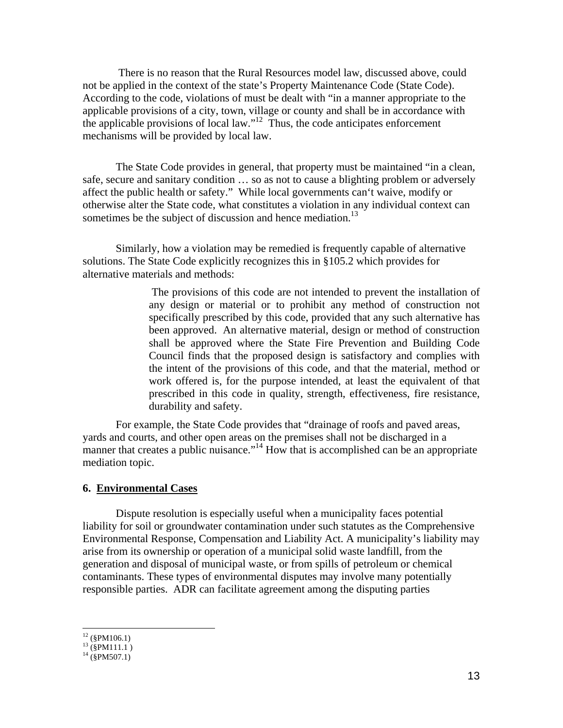There is no reason that the Rural Resources model law, discussed above, could not be applied in the context of the state's Property Maintenance Code (State Code). According to the code, violations of must be dealt with "in a manner appropriate to the applicable provisions of a city, town, village or county and shall be in accordance with the applicable provisions of local law."<sup>12</sup> Thus, the code anticipates enforcement mechanisms will be provided by local law.

 The State Code provides in general, that property must be maintained "in a clean, safe, secure and sanitary condition … so as not to cause a blighting problem or adversely affect the public health or safety." While local governments can't waive, modify or otherwise alter the State code, what constitutes a violation in any individual context can sometimes be the subject of discussion and hence mediation.<sup>13</sup>

 Similarly, how a violation may be remedied is frequently capable of alternative solutions. The State Code explicitly recognizes this in §105.2 which provides for alternative materials and methods:

> The provisions of this code are not intended to prevent the installation of any design or material or to prohibit any method of construction not specifically prescribed by this code, provided that any such alternative has been approved. An alternative material, design or method of construction shall be approved where the State Fire Prevention and Building Code Council finds that the proposed design is satisfactory and complies with the intent of the provisions of this code, and that the material, method or work offered is, for the purpose intended, at least the equivalent of that prescribed in this code in quality, strength, effectiveness, fire resistance, durability and safety.

 For example, the State Code provides that "drainage of roofs and paved areas, yards and courts, and other open areas on the premises shall not be discharged in a manner that creates a public nuisance."<sup>14</sup> How that is accomplished can be an appropriate mediation topic.

#### **6. Environmental Cases**

 Dispute resolution is especially useful when a municipality faces potential liability for soil or groundwater contamination under such statutes as the Comprehensive Environmental Response, Compensation and Liability Act. A municipality's liability may arise from its ownership or operation of a municipal solid waste landfill, from the generation and disposal of municipal waste, or from spills of petroleum or chemical contaminants. These types of environmental disputes may involve many potentially responsible parties. ADR can facilitate agreement among the disputing parties

 $12$  (§PM106.1)

 $^{13}$  (§PM111.1)

 $^{14}$  (§PM507.1)